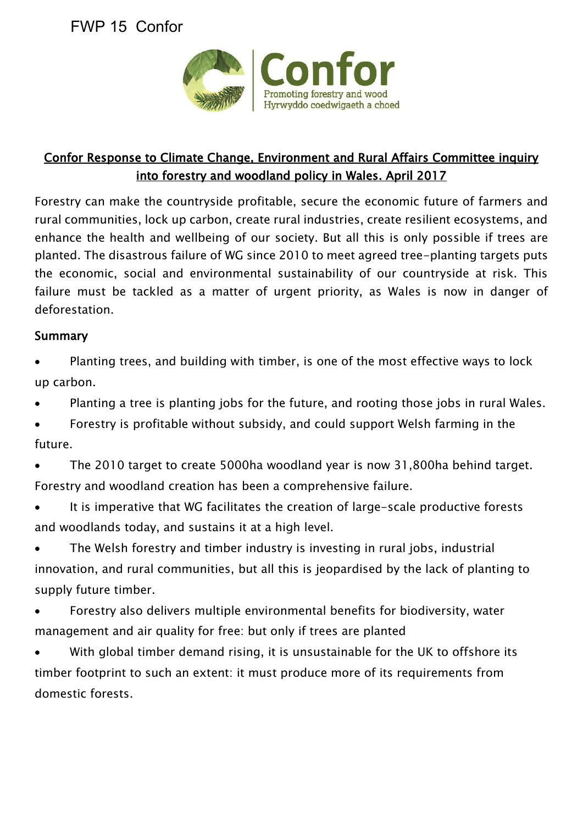# FWP 15 Confor



### Confor Response to Climate Change, Environment and Rural Affairs Committee inquiry into forestry and woodland policy in Wales. April 2017

Forestry can make the countryside profitable, secure the economic future of farmers and rural communities, lock up carbon, create rural industries, create resilient ecosystems, and enhance the health and wellbeing of our society. But all this is only possible if trees are planted. The disastrous failure of WG since 2010 to meet agreed tree-planting targets puts the economic, social and environmental sustainability of our countryside at risk. This failure must be tackled as a matter of urgent priority, as Wales is now in danger of deforestation.

#### Summary

- Planting trees, and building with timber, is one of the most effective ways to lock up carbon.
- Planting a tree is planting jobs for the future, and rooting those jobs in rural Wales.
- Forestry is profitable without subsidy, and could support Welsh farming in the future.
- The 2010 target to create 5000ha woodland year is now 31,800ha behind target. Forestry and woodland creation has been a comprehensive failure.
- It is imperative that WG facilitates the creation of large-scale productive forests and woodlands today, and sustains it at a high level.
- The Welsh forestry and timber industry is investing in rural jobs, industrial innovation, and rural communities, but all this is jeopardised by the lack of planting to supply future timber.
- Forestry also delivers multiple environmental benefits for biodiversity, water management and air quality for free: but only if trees are planted
- With global timber demand rising, it is unsustainable for the UK to offshore its timber footprint to such an extent: it must produce more of its requirements from domestic forests.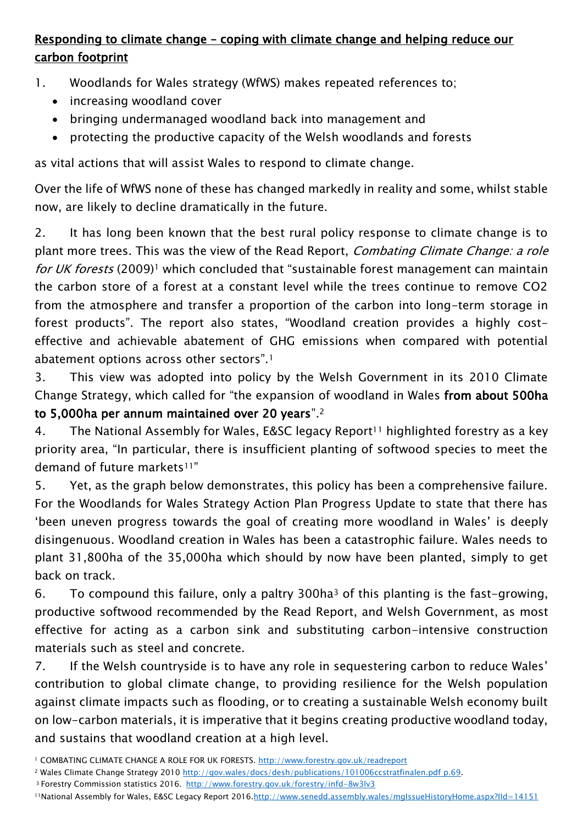### Responding to climate change – coping with climate change and helping reduce our carbon footprint

1. Woodlands for Wales strategy (WfWS) makes repeated references to;

- increasing woodland cover
- bringing undermanaged woodland back into management and
- protecting the productive capacity of the Welsh woodlands and forests

as vital actions that will assist Wales to respond to climate change.

Over the life of WfWS none of these has changed markedly in reality and some, whilst stable now, are likely to decline dramatically in the future.

2. It has long been known that the best rural policy response to climate change is to plant more trees. This was the view of the Read Report, *Combating Climate Change: a role* for UK forests (2009)<sup>1</sup> which concluded that "sustainable forest management can maintain the carbon store of a forest at a constant level while the trees continue to remove CO2 from the atmosphere and transfer a proportion of the carbon into long-term storage in forest products". The report also states, "Woodland creation provides a highly costeffective and achievable abatement of GHG emissions when compared with potential abatement options across other sectors".<sup>1</sup>

3. This view was adopted into policy by the Welsh Government in its 2010 Climate Change Strategy, which called for "the expansion of woodland in Wales from about 500ha to 5,000ha per annum maintained over 20 years".<sup>2</sup>

4. The National Assembly for Wales, E&SC legacy Report<sup>11</sup> highlighted forestry as a key priority area, "In particular, there is insufficient planting of softwood species to meet the demand of future markets<sup>11"</sup>

5. Yet, as the graph below demonstrates, this policy has been a comprehensive failure. For the Woodlands for Wales Strategy Action Plan Progress Update to state that there has 'been uneven progress towards the goal of creating more woodland in Wales' is deeply disingenuous. Woodland creation in Wales has been a catastrophic failure. Wales needs to plant 31,800ha of the 35,000ha which should by now have been planted, simply to get back on track.

6. To compound this failure, only a paltry 300ha<sup>3</sup> of this planting is the fast-growing, productive softwood recommended by the Read Report, and Welsh Government, as most effective for acting as a carbon sink and substituting carbon-intensive construction materials such as steel and concrete.

7. If the Welsh countryside is to have any role in sequestering carbon to reduce Wales' contribution to global climate change, to providing resilience for the Welsh population against climate impacts such as flooding, or to creating a sustainable Welsh economy built on low-carbon materials, it is imperative that it begins creating productive woodland today, and sustains that woodland creation at a high level.

- <sup>3</sup>Forestry Commission statistics 2016.<http://www.forestry.gov.uk/forestry/infd-8w3lv3>
- 11National Assembly for Wales, E&SC Legacy Report 2016[.http://www.senedd.assembly.wales/mgIssueHistoryHome.aspx?IId=14151](http://www.senedd.assembly.wales/mgIssueHistoryHome.aspx?IId=14151)

<sup>1</sup> COMBATING CLIMATE CHANGE A ROLE FOR UK FORESTS.<http://www.forestry.gov.uk/readreport>

<sup>2</sup> Wales Climate Change Strategy 2010 [http://gov.wales/docs/desh/publications/101006ccstratfinalen.pdf p.69.](http://gov.wales/docs/desh/publications/101006ccstratfinalen.pdf%20p.69)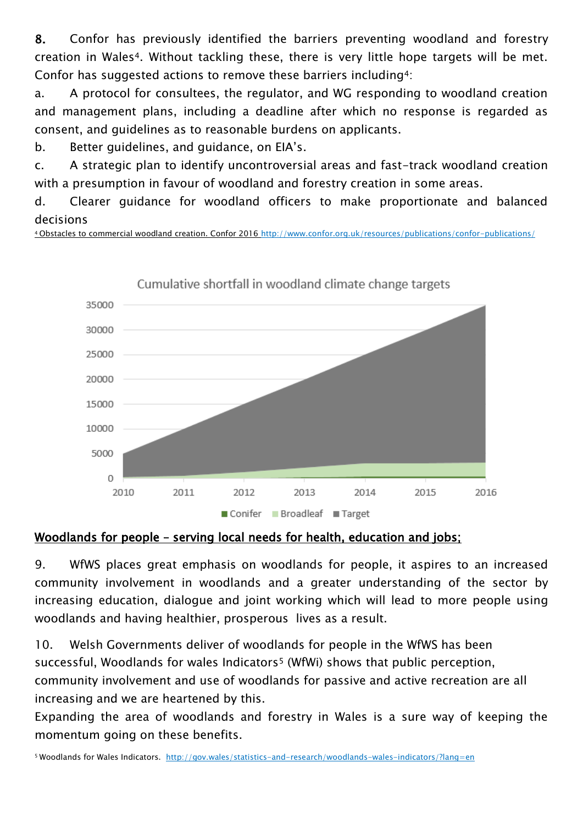8. Confor has previously identified the barriers preventing woodland and forestry creation in Wales4. Without tackling these, there is very little hope targets will be met. Confor has suggested actions to remove these barriers including4:

a. A protocol for consultees, the regulator, and WG responding to woodland creation and management plans, including a deadline after which no response is regarded as consent, and guidelines as to reasonable burdens on applicants.

b. Better guidelines, and guidance, on EIA's.

c. A strategic plan to identify uncontroversial areas and fast-track woodland creation with a presumption in favour of woodland and forestry creation in some areas.

d. Clearer guidance for woodland officers to make proportionate and balanced decisions

<sup>4</sup>Obstacles to commercial woodland creation. Confor 2016 http://www.confor.org.uk/resources/publications/confor-publications/



#### Woodlands for people – serving local needs for health, education and jobs;

9. WfWS places great emphasis on woodlands for people, it aspires to an increased community involvement in woodlands and a greater understanding of the sector by increasing education, dialogue and joint working which will lead to more people using woodlands and having healthier, prosperous lives as a result.

10. Welsh Governments deliver of woodlands for people in the WfWS has been successful, Woodlands for wales Indicators<sup>5</sup> (WfWi) shows that public perception, community involvement and use of woodlands for passive and active recreation are all increasing and we are heartened by this.

Expanding the area of woodlands and forestry in Wales is a sure way of keeping the momentum going on these benefits.

5 Woodlands for Wales Indicators.<http://gov.wales/statistics-and-research/woodlands-wales-indicators/?lang=en>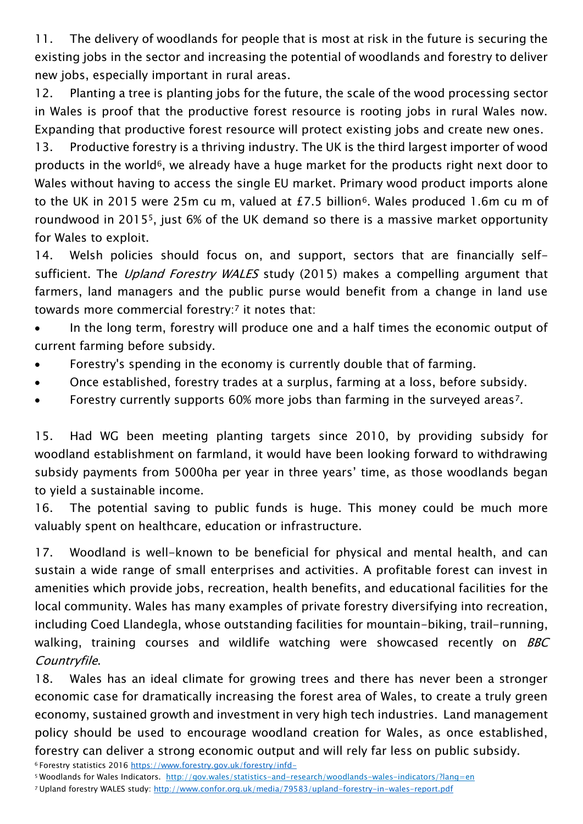11. The delivery of woodlands for people that is most at risk in the future is securing the existing jobs in the sector and increasing the potential of woodlands and forestry to deliver new jobs, especially important in rural areas.

12. Planting a tree is planting jobs for the future, the scale of the wood processing sector in Wales is proof that the productive forest resource is rooting jobs in rural Wales now. Expanding that productive forest resource will protect existing jobs and create new ones.

13. Productive forestry is a thriving industry. The UK is the third largest importer of wood products in the world<sup>6</sup>, we already have a huge market for the products right next door to Wales without having to access the single EU market. Primary wood product imports alone to the UK in 2015 were 25m cu m, valued at £7.5 billion<sup>6</sup>. Wales produced 1.6m cu m of roundwood in 20155, just 6% of the UK demand so there is a massive market opportunity for Wales to exploit.

14. Welsh policies should focus on, and support, sectors that are financially selfsufficient. The *Upland Forestry WALES* study (2015) makes a compelling argument that farmers, land managers and the public purse would benefit from a change in land use towards more commercial forestry:<sup>7</sup> it notes that:

• In the long term, forestry will produce one and a half times the economic output of current farming before subsidy.

- Forestry's spending in the economy is currently double that of farming.
- Once established, forestry trades at a surplus, farming at a loss, before subsidy.
- Forestry currently supports 60% more jobs than farming in the surveyed areas<sup>7</sup>.

15. Had WG been meeting planting targets since 2010, by providing subsidy for woodland establishment on farmland, it would have been looking forward to withdrawing subsidy payments from 5000ha per year in three years' time, as those woodlands began to yield a sustainable income.

16. The potential saving to public funds is huge. This money could be much more valuably spent on healthcare, education or infrastructure.

17. Woodland is well-known to be beneficial for physical and mental health, and can sustain a wide range of small enterprises and activities. A profitable forest can invest in amenities which provide jobs, recreation, health benefits, and educational facilities for the local community. Wales has many examples of private forestry diversifying into recreation, including Coed Llandegla, whose outstanding facilities for mountain-biking, trail-running, walking, training courses and wildlife watching were showcased recently on BBC Countryfile.

18. Wales has an ideal climate for growing trees and there has never been a stronger economic case for dramatically increasing the forest area of Wales, to create a truly green economy, sustained growth and investment in very high tech industries. Land management policy should be used to encourage woodland creation for Wales, as once established, forestry can deliver a strong economic output and will rely far less on public subsidy.

<sup>6</sup>Forestry statistics 2016 <https://www.forestry.gov.uk/forestry/infd->

- <sup>5</sup>Woodlands for Wales Indicators.<http://gov.wales/statistics-and-research/woodlands-wales-indicators/?lang=en>
- <sup>7</sup> Upland forestry WALES study:<http://www.confor.org.uk/media/79583/upland-forestry-in-wales-report.pdf>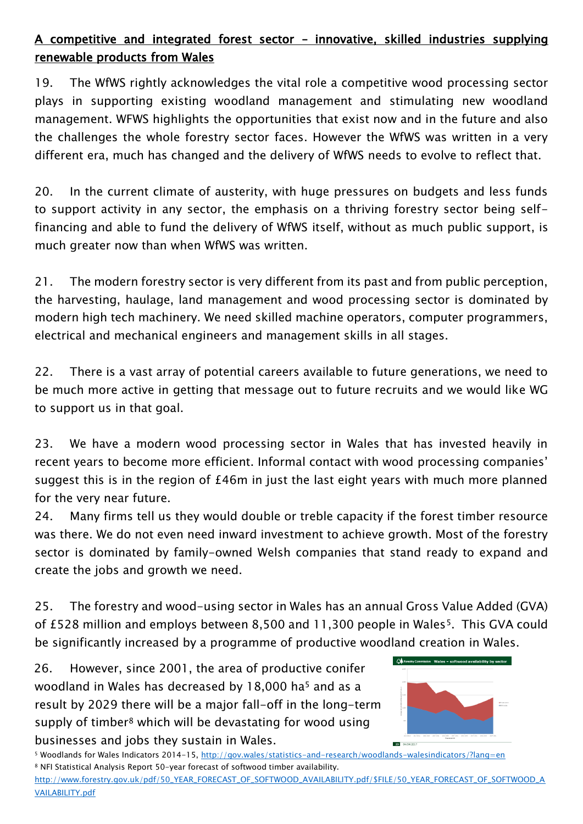### A competitive and integrated forest sector – innovative, skilled industries supplying renewable products from Wales

19. The WfWS rightly acknowledges the vital role a competitive wood processing sector plays in supporting existing woodland management and stimulating new woodland management. WFWS highlights the opportunities that exist now and in the future and also the challenges the whole forestry sector faces. However the WfWS was written in a very different era, much has changed and the delivery of WfWS needs to evolve to reflect that.

20. In the current climate of austerity, with huge pressures on budgets and less funds to support activity in any sector, the emphasis on a thriving forestry sector being selffinancing and able to fund the delivery of WfWS itself, without as much public support, is much greater now than when WfWS was written.

21. The modern forestry sector is very different from its past and from public perception, the harvesting, haulage, land management and wood processing sector is dominated by modern high tech machinery. We need skilled machine operators, computer programmers, electrical and mechanical engineers and management skills in all stages.

22. There is a vast array of potential careers available to future generations, we need to be much more active in getting that message out to future recruits and we would like WG to support us in that goal.

23. We have a modern wood processing sector in Wales that has invested heavily in recent years to become more efficient. Informal contact with wood processing companies' suggest this is in the region of £46m in just the last eight years with much more planned for the very near future.

24. Many firms tell us they would double or treble capacity if the forest timber resource was there. We do not even need inward investment to achieve growth. Most of the forestry sector is dominated by family-owned Welsh companies that stand ready to expand and create the jobs and growth we need.

25. The forestry and wood-using sector in Wales has an annual Gross Value Added (GVA) of £528 million and employs between 8,500 and 11,300 people in Wales<sup>5</sup>. This GVA could be significantly increased by a programme of productive woodland creation in Wales.

26. However, since 2001, the area of productive conifer woodland in Wales has decreased by 18,000 ha<sup>5</sup> and as a result by 2029 there will be a major fall-off in the long-term supply of timber<sup>8</sup> which will be devastating for wood using businesses and jobs they sustain in Wales.



<sup>5</sup> Woodlands for Wales Indicators 2014-15,<http://gov.wales/statistics-and-research/woodlands-walesindicators/?lang=en> <sup>8</sup> NFI Statistical Analysis Report 50-year forecast of softwood timber availability.

[http://www.forestry.gov.uk/pdf/50\\_YEAR\\_FORECAST\\_OF\\_SOFTWOOD\\_AVAILABILITY.pdf/\\$FILE/50\\_YEAR\\_FORECAST\\_OF\\_SOFTWOOD\\_A](http://www.forestry.gov.uk/pdf/50_YEAR_FORECAST_OF_SOFTWOOD_AVAILABILITY.pdf/$FILE/50_YEAR_FORECAST_OF_SOFTWOOD_AVAILABILITY.pdf) [VAILABILITY.pdf](http://www.forestry.gov.uk/pdf/50_YEAR_FORECAST_OF_SOFTWOOD_AVAILABILITY.pdf/$FILE/50_YEAR_FORECAST_OF_SOFTWOOD_AVAILABILITY.pdf)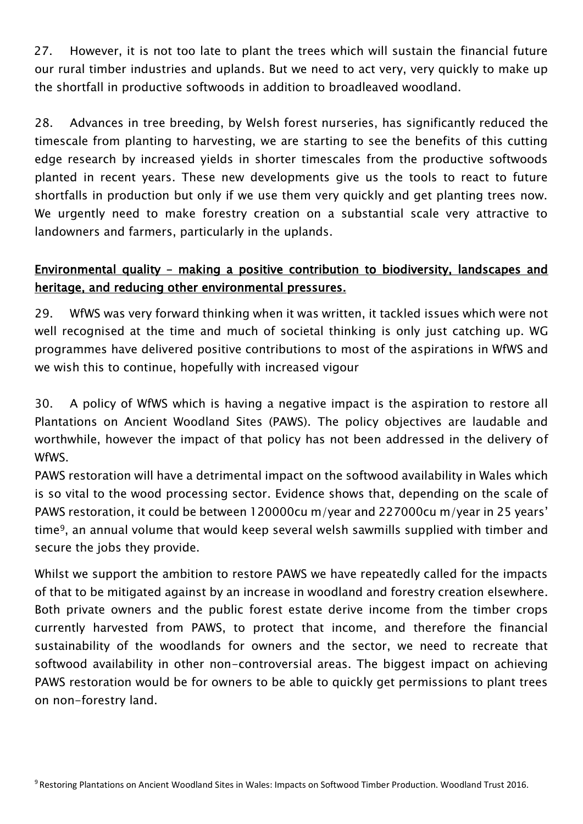27. However, it is not too late to plant the trees which will sustain the financial future our rural timber industries and uplands. But we need to act very, very quickly to make up the shortfall in productive softwoods in addition to broadleaved woodland.

28. Advances in tree breeding, by Welsh forest nurseries, has significantly reduced the timescale from planting to harvesting, we are starting to see the benefits of this cutting edge research by increased yields in shorter timescales from the productive softwoods planted in recent years. These new developments give us the tools to react to future shortfalls in production but only if we use them very quickly and get planting trees now. We urgently need to make forestry creation on a substantial scale very attractive to landowners and farmers, particularly in the uplands.

#### Environmental quality – making a positive contribution to biodiversity, landscapes and heritage, and reducing other environmental pressures.

29. WfWS was very forward thinking when it was written, it tackled issues which were not well recognised at the time and much of societal thinking is only just catching up. WG programmes have delivered positive contributions to most of the aspirations in WfWS and we wish this to continue, hopefully with increased vigour

30. A policy of WfWS which is having a negative impact is the aspiration to restore all Plantations on Ancient Woodland Sites (PAWS). The policy objectives are laudable and worthwhile, however the impact of that policy has not been addressed in the delivery of WfWS.

PAWS restoration will have a detrimental impact on the softwood availability in Wales which is so vital to the wood processing sector. Evidence shows that, depending on the scale of PAWS restoration, it could be between 120000cu m/year and 227000cu m/year in 25 years' time9, an annual volume that would keep several welsh sawmills supplied with timber and secure the jobs they provide.

Whilst we support the ambition to restore PAWS we have repeatedly called for the impacts of that to be mitigated against by an increase in woodland and forestry creation elsewhere. Both private owners and the public forest estate derive income from the timber crops currently harvested from PAWS, to protect that income, and therefore the financial sustainability of the woodlands for owners and the sector, we need to recreate that softwood availability in other non-controversial areas. The biggest impact on achieving PAWS restoration would be for owners to be able to quickly get permissions to plant trees on non-forestry land.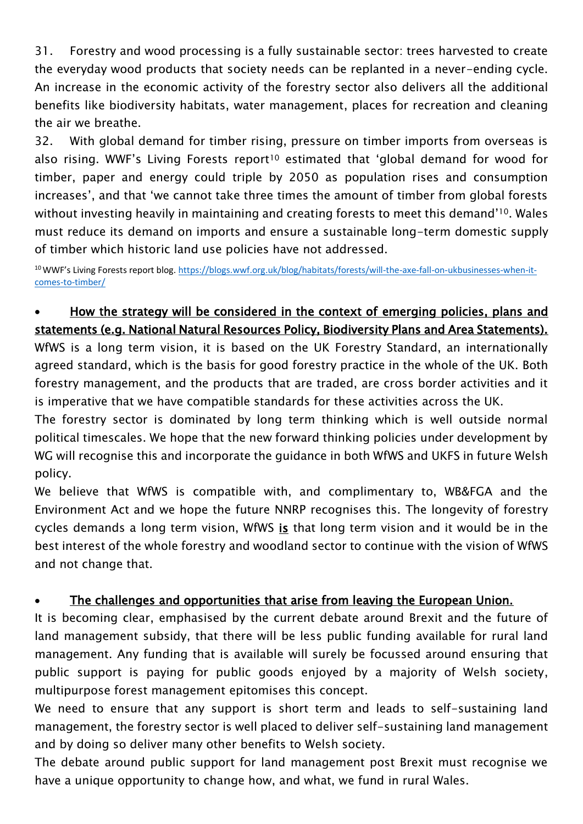31. Forestry and wood processing is a fully sustainable sector: trees harvested to create the everyday wood products that society needs can be replanted in a never-ending cycle. An increase in the economic activity of the forestry sector also delivers all the additional benefits like biodiversity habitats, water management, places for recreation and cleaning the air we breathe.

32. With global demand for timber rising, pressure on timber imports from overseas is also rising. WWF's Living Forests report<sup>10</sup> estimated that 'global demand for wood for timber, paper and energy could triple by 2050 as population rises and consumption increases', and that 'we cannot take three times the amount of timber from global forests without investing heavily in maintaining and creating forests to meet this demand'10. Wales must reduce its demand on imports and ensure a sustainable long-term domestic supply of timber which historic land use policies have not addressed.

<sup>10</sup>WWF's Living Forests report blog. [https://blogs.wwf.org.uk/blog/habitats/forests/will-the-axe-fall-on-ukbusinesses-when-it](https://blogs.wwf.org.uk/blog/habitats/forests/will-the-axe-fall-on-ukbusinesses-when-it-comes-to-timber/)[comes-to-timber/](https://blogs.wwf.org.uk/blog/habitats/forests/will-the-axe-fall-on-ukbusinesses-when-it-comes-to-timber/)

## How the strategy will be considered in the context of emerging policies, plans and statements (e.g. National Natural Resources Policy, Biodiversity Plans and Area Statements).

WfWS is a long term vision, it is based on the UK Forestry Standard, an internationally agreed standard, which is the basis for good forestry practice in the whole of the UK. Both forestry management, and the products that are traded, are cross border activities and it is imperative that we have compatible standards for these activities across the UK.

The forestry sector is dominated by long term thinking which is well outside normal political timescales. We hope that the new forward thinking policies under development by WG will recognise this and incorporate the guidance in both WfWS and UKFS in future Welsh policy.

We believe that WfWS is compatible with, and complimentary to, WB&FGA and the Environment Act and we hope the future NNRP recognises this. The longevity of forestry cycles demands a long term vision, WfWS is that long term vision and it would be in the best interest of the whole forestry and woodland sector to continue with the vision of WfWS and not change that.

#### The challenges and opportunities that arise from leaving the European Union.

It is becoming clear, emphasised by the current debate around Brexit and the future of land management subsidy, that there will be less public funding available for rural land management. Any funding that is available will surely be focussed around ensuring that public support is paying for public goods enjoyed by a majority of Welsh society, multipurpose forest management epitomises this concept.

We need to ensure that any support is short term and leads to self-sustaining land management, the forestry sector is well placed to deliver self-sustaining land management and by doing so deliver many other benefits to Welsh society.

The debate around public support for land management post Brexit must recognise we have a unique opportunity to change how, and what, we fund in rural Wales.